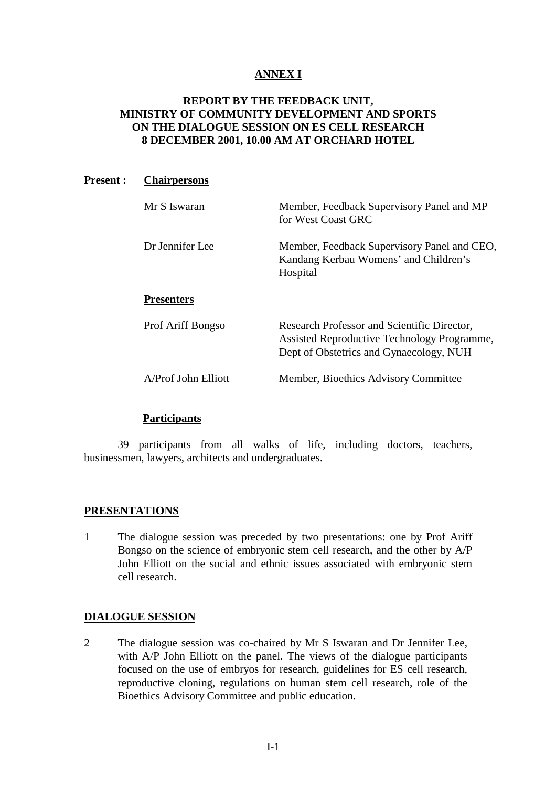# **ANNEX I**

# **REPORT BY THE FEEDBACK UNIT, MINISTRY OF COMMUNITY DEVELOPMENT AND SPORTS ON THE DIALOGUE SESSION ON ES CELL RESEARCH 8 DECEMBER 2001, 10.00 AM AT ORCHARD HOTEL**

#### **Present : Chairpersons**

| Mr S Iswaran        | Member, Feedback Supervisory Panel and MP<br>for West Coast GRC                                                                       |
|---------------------|---------------------------------------------------------------------------------------------------------------------------------------|
| Dr Jennifer Lee     | Member, Feedback Supervisory Panel and CEO,<br>Kandang Kerbau Womens' and Children's<br>Hospital                                      |
| <b>Presenters</b>   |                                                                                                                                       |
| Prof Ariff Bongso   | Research Professor and Scientific Director,<br>Assisted Reproductive Technology Programme,<br>Dept of Obstetrics and Gynaecology, NUH |
| A/Prof John Elliott | Member, Bioethics Advisory Committee                                                                                                  |

## **Participants**

39 participants from all walks of life, including doctors, teachers, businessmen, lawyers, architects and undergraduates.

#### **PRESENTATIONS**

1 The dialogue session was preceded by two presentations: one by Prof Ariff Bongso on the science of embryonic stem cell research, and the other by A/P John Elliott on the social and ethnic issues associated with embryonic stem cell research.

#### **DIALOGUE SESSION**

2 The dialogue session was co-chaired by Mr S Iswaran and Dr Jennifer Lee, with A/P John Elliott on the panel. The views of the dialogue participants focused on the use of embryos for research, guidelines for ES cell research, reproductive cloning, regulations on human stem cell research, role of the Bioethics Advisory Committee and public education.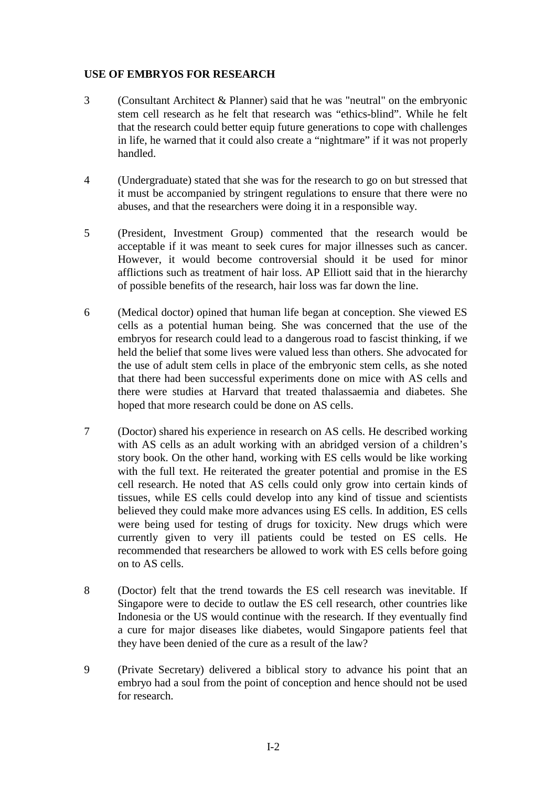# **USE OF EMBRYOS FOR RESEARCH**

- 3 (Consultant Architect & Planner) said that he was "neutral" on the embryonic stem cell research as he felt that research was "ethics-blind". While he felt that the research could better equip future generations to cope with challenges in life, he warned that it could also create a "nightmare" if it was not properly handled.
- 4 (Undergraduate) stated that she was for the research to go on but stressed that it must be accompanied by stringent regulations to ensure that there were no abuses, and that the researchers were doing it in a responsible way.
- 5 (President, Investment Group) commented that the research would be acceptable if it was meant to seek cures for major illnesses such as cancer. However, it would become controversial should it be used for minor afflictions such as treatment of hair loss. AP Elliott said that in the hierarchy of possible benefits of the research, hair loss was far down the line.
- 6 (Medical doctor) opined that human life began at conception. She viewed ES cells as a potential human being. She was concerned that the use of the embryos for research could lead to a dangerous road to fascist thinking, if we held the belief that some lives were valued less than others. She advocated for the use of adult stem cells in place of the embryonic stem cells, as she noted that there had been successful experiments done on mice with AS cells and there were studies at Harvard that treated thalassaemia and diabetes. She hoped that more research could be done on AS cells.
- 7 (Doctor) shared his experience in research on AS cells. He described working with AS cells as an adult working with an abridged version of a children's story book. On the other hand, working with ES cells would be like working with the full text. He reiterated the greater potential and promise in the ES cell research. He noted that AS cells could only grow into certain kinds of tissues, while ES cells could develop into any kind of tissue and scientists believed they could make more advances using ES cells. In addition, ES cells were being used for testing of drugs for toxicity. New drugs which were currently given to very ill patients could be tested on ES cells. He recommended that researchers be allowed to work with ES cells before going on to AS cells.
- 8 (Doctor) felt that the trend towards the ES cell research was inevitable. If Singapore were to decide to outlaw the ES cell research, other countries like Indonesia or the US would continue with the research. If they eventually find a cure for major diseases like diabetes, would Singapore patients feel that they have been denied of the cure as a result of the law?
- 9 (Private Secretary) delivered a biblical story to advance his point that an embryo had a soul from the point of conception and hence should not be used for research.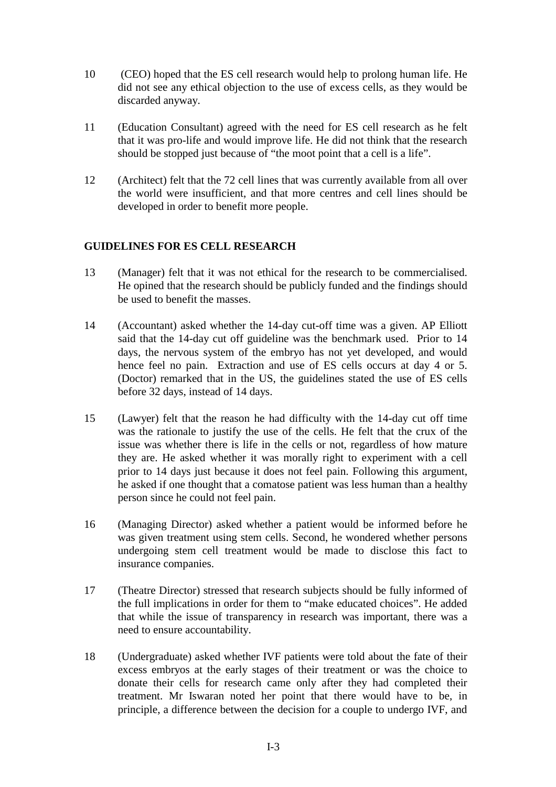- 10 (CEO) hoped that the ES cell research would help to prolong human life. He did not see any ethical objection to the use of excess cells, as they would be discarded anyway.
- 11 (Education Consultant) agreed with the need for ES cell research as he felt that it was pro-life and would improve life. He did not think that the research should be stopped just because of "the moot point that a cell is a life".
- 12 (Architect) felt that the 72 cell lines that was currently available from all over the world were insufficient, and that more centres and cell lines should be developed in order to benefit more people.

# **GUIDELINES FOR ES CELL RESEARCH**

- 13 (Manager) felt that it was not ethical for the research to be commercialised. He opined that the research should be publicly funded and the findings should be used to benefit the masses.
- 14 (Accountant) asked whether the 14-day cut-off time was a given. AP Elliott said that the 14-day cut off guideline was the benchmark used. Prior to 14 days, the nervous system of the embryo has not yet developed, and would hence feel no pain. Extraction and use of ES cells occurs at day 4 or 5. (Doctor) remarked that in the US, the guidelines stated the use of ES cells before 32 days, instead of 14 days.
- 15 (Lawyer) felt that the reason he had difficulty with the 14-day cut off time was the rationale to justify the use of the cells. He felt that the crux of the issue was whether there is life in the cells or not, regardless of how mature they are. He asked whether it was morally right to experiment with a cell prior to 14 days just because it does not feel pain. Following this argument, he asked if one thought that a comatose patient was less human than a healthy person since he could not feel pain.
- 16 (Managing Director) asked whether a patient would be informed before he was given treatment using stem cells. Second, he wondered whether persons undergoing stem cell treatment would be made to disclose this fact to insurance companies.
- 17 (Theatre Director) stressed that research subjects should be fully informed of the full implications in order for them to "make educated choices". He added that while the issue of transparency in research was important, there was a need to ensure accountability.
- 18 (Undergraduate) asked whether IVF patients were told about the fate of their excess embryos at the early stages of their treatment or was the choice to donate their cells for research came only after they had completed their treatment. Mr Iswaran noted her point that there would have to be, in principle, a difference between the decision for a couple to undergo IVF, and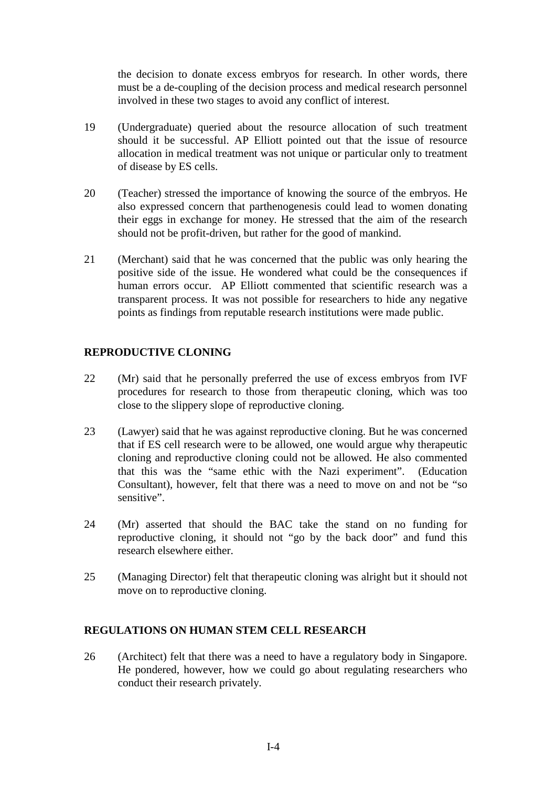the decision to donate excess embryos for research. In other words, there must be a de-coupling of the decision process and medical research personnel involved in these two stages to avoid any conflict of interest.

- 19 (Undergraduate) queried about the resource allocation of such treatment should it be successful. AP Elliott pointed out that the issue of resource allocation in medical treatment was not unique or particular only to treatment of disease by ES cells.
- 20 (Teacher) stressed the importance of knowing the source of the embryos. He also expressed concern that parthenogenesis could lead to women donating their eggs in exchange for money. He stressed that the aim of the research should not be profit-driven, but rather for the good of mankind.
- 21 (Merchant) said that he was concerned that the public was only hearing the positive side of the issue. He wondered what could be the consequences if human errors occur. AP Elliott commented that scientific research was a transparent process. It was not possible for researchers to hide any negative points as findings from reputable research institutions were made public.

# **REPRODUCTIVE CLONING**

- 22 (Mr) said that he personally preferred the use of excess embryos from IVF procedures for research to those from therapeutic cloning, which was too close to the slippery slope of reproductive cloning.
- 23 (Lawyer) said that he was against reproductive cloning. But he was concerned that if ES cell research were to be allowed, one would argue why therapeutic cloning and reproductive cloning could not be allowed. He also commented that this was the "same ethic with the Nazi experiment". (Education Consultant), however, felt that there was a need to move on and not be "so sensitive".
- 24 (Mr) asserted that should the BAC take the stand on no funding for reproductive cloning, it should not "go by the back door" and fund this research elsewhere either.
- 25 (Managing Director) felt that therapeutic cloning was alright but it should not move on to reproductive cloning.

#### **REGULATIONS ON HUMAN STEM CELL RESEARCH**

26 (Architect) felt that there was a need to have a regulatory body in Singapore. He pondered, however, how we could go about regulating researchers who conduct their research privately.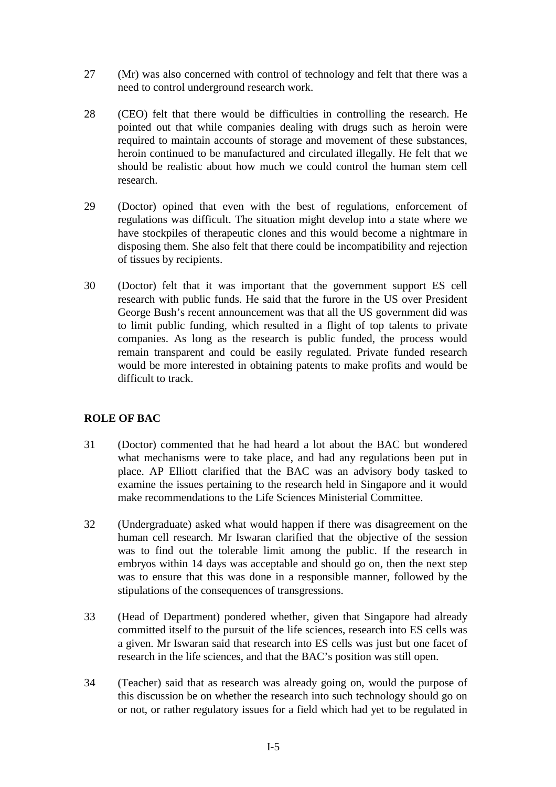- 27 (Mr) was also concerned with control of technology and felt that there was a need to control underground research work.
- 28 (CEO) felt that there would be difficulties in controlling the research. He pointed out that while companies dealing with drugs such as heroin were required to maintain accounts of storage and movement of these substances, heroin continued to be manufactured and circulated illegally. He felt that we should be realistic about how much we could control the human stem cell research.
- 29 (Doctor) opined that even with the best of regulations, enforcement of regulations was difficult. The situation might develop into a state where we have stockpiles of therapeutic clones and this would become a nightmare in disposing them. She also felt that there could be incompatibility and rejection of tissues by recipients.
- 30 (Doctor) felt that it was important that the government support ES cell research with public funds. He said that the furore in the US over President George Bush's recent announcement was that all the US government did was to limit public funding, which resulted in a flight of top talents to private companies. As long as the research is public funded, the process would remain transparent and could be easily regulated. Private funded research would be more interested in obtaining patents to make profits and would be difficult to track.

# **ROLE OF BAC**

- 31 (Doctor) commented that he had heard a lot about the BAC but wondered what mechanisms were to take place, and had any regulations been put in place. AP Elliott clarified that the BAC was an advisory body tasked to examine the issues pertaining to the research held in Singapore and it would make recommendations to the Life Sciences Ministerial Committee.
- 32 (Undergraduate) asked what would happen if there was disagreement on the human cell research. Mr Iswaran clarified that the objective of the session was to find out the tolerable limit among the public. If the research in embryos within 14 days was acceptable and should go on, then the next step was to ensure that this was done in a responsible manner, followed by the stipulations of the consequences of transgressions.
- 33 (Head of Department) pondered whether, given that Singapore had already committed itself to the pursuit of the life sciences, research into ES cells was a given. Mr Iswaran said that research into ES cells was just but one facet of research in the life sciences, and that the BAC's position was still open.
- 34 (Teacher) said that as research was already going on, would the purpose of this discussion be on whether the research into such technology should go on or not, or rather regulatory issues for a field which had yet to be regulated in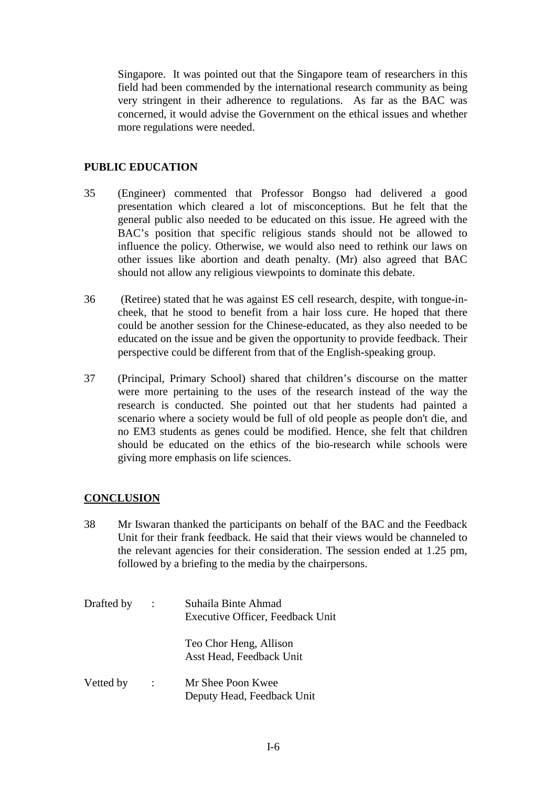Singapore. It was pointed out that the Singapore team of researchers in this field had been commended by the international research community as being very stringent in their adherence to regulations. As far as the BAC was concerned, it would advise the Government on the ethical issues and whether more regulations were needed.

### **PUBLIC EDUCATION**

- 35 (Engineer) commented that Professor Bongso had delivered a good presentation which cleared a lot of misconceptions. But he felt that the general public also needed to be educated on this issue. He agreed with the BAC's position that specific religious stands should not be allowed to influence the policy. Otherwise, we would also need to rethink our laws on other issues like abortion and death penalty. (Mr) also agreed that BAC should not allow any religious viewpoints to dominate this debate.
- 36 (Retiree) stated that he was against ES cell research, despite, with tongue-incheek, that he stood to benefit from a hair loss cure. He hoped that there could be another session for the Chinese-educated, as they also needed to be educated on the issue and be given the opportunity to provide feedback. Their perspective could be different from that of the English-speaking group.
- 37 (Principal, Primary School) shared that children's discourse on the matter were more pertaining to the uses of the research instead of the way the research is conducted. She pointed out that her students had painted a scenario where a society would be full of old people as people don't die, and no EM3 students as genes could be modified. Hence, she felt that children should be educated on the ethics of the bio-research while schools were giving more emphasis on life sciences.

#### **CONCLUSION**

- 38 Mr Iswaran thanked the participants on behalf of the BAC and the Feedback Unit for their frank feedback. He said that their views would be channeled to the relevant agencies for their consideration. The session ended at 1.25 pm, followed by a briefing to the media by the chairpersons.
- Drafted by : Suhaila Binte Ahmad Executive Officer, Feedback Unit Teo Chor Heng, Allison Asst Head, Feedback Unit Vetted by : Mr Shee Poon Kwee Deputy Head, Feedback Unit